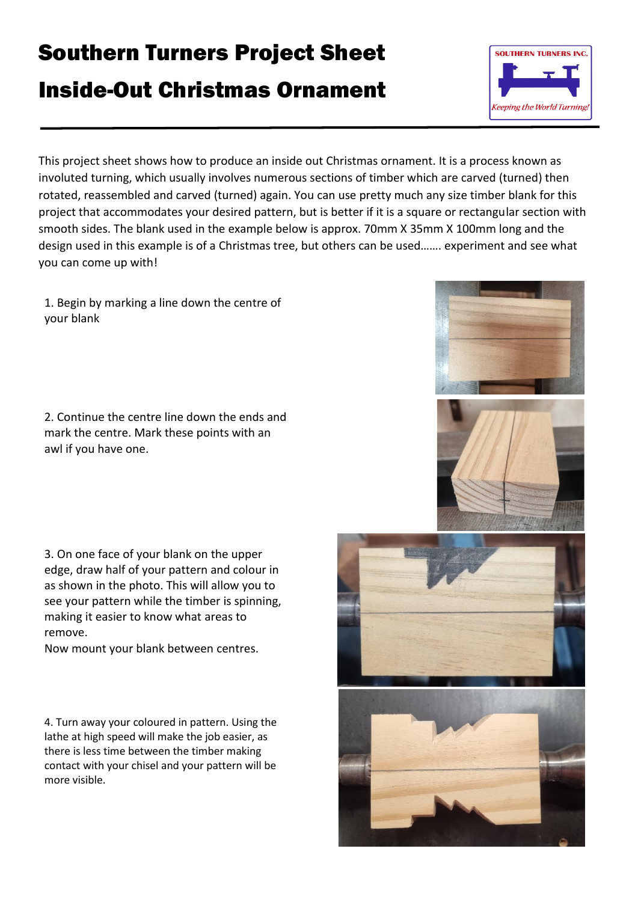## Southern Turners Project Sheet

## Inside-Out Christmas Ornament



This project sheet shows how to produce an inside out Christmas ornament. It is a process known as involuted turning, which usually involves numerous sections of timber which are carved (turned) then rotated, reassembled and carved (turned) again. You can use pretty much any size timber blank for this project that accommodates your desired pattern, but is better if it is a square or rectangular section with smooth sides. The blank used in the example below is approx. 70mm X 35mm X 100mm long and the design used in this example is of a Christmas tree, but others can be used……. experiment and see what you can come up with!

1. Begin by marking a line down the centre of your blank

2. Continue the centre line down the ends and mark the centre. Mark these points with an awl if you have one.

3. On one face of your blank on the upper edge, draw half of your pattern and colour in as shown in the photo. This will allow you to see your pattern while the timber is spinning, making it easier to know what areas to remove.

Now mount your blank between centres.

4. Turn away your coloured in pattern. Using the lathe at high speed will make the job easier, as there is less time between the timber making contact with your chisel and your pattern will be more visible.